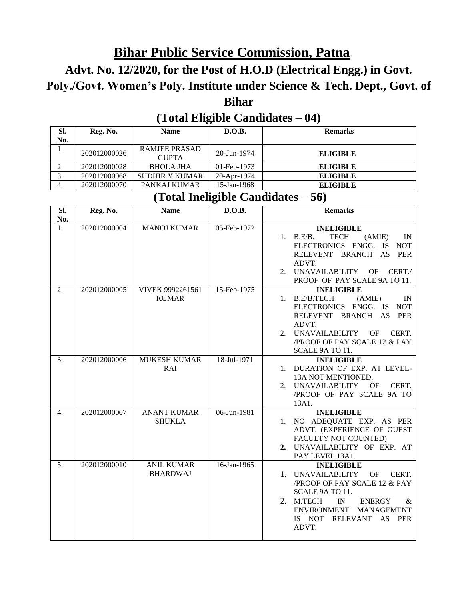# **Bihar Public Service Commission, Patna**

## **Advt. No. 12/2020, for the Post of H.O.D (Electrical Engg.) in Govt. Poly./Govt. Women's Poly. Institute under Science & Tech. Dept., Govt. of Bihar**

### **(Total Eligible Candidates – 04)**

| SI. | Reg. No.     | <b>Name</b>                          | D.O.B.            | <b>Remarks</b>  |
|-----|--------------|--------------------------------------|-------------------|-----------------|
| No. |              |                                      |                   |                 |
| .,  | 202012000026 | <b>RAMJEE PRASAD</b><br><b>GUPTA</b> | $20 - Jun - 1974$ | <b>ELIGIBLE</b> |
| ۷.  | 202012000028 | <b>BHOLA JHA</b>                     | $01$ -Feb-1973    | <b>ELIGIBLE</b> |
| J.  | 202012000068 | SUDHIR Y KUMAR                       | 20-Apr-1974       | <b>ELIGIBLE</b> |
| 4.  | 202012000070 | PANKAJ KUMAR                         | 15-Jan-1968       | <b>ELIGIBLE</b> |

#### **(Total Ineligible Candidates – 56)**

| SI.<br>No.       | Reg. No.     | <b>Name</b>                          | D.O.B.         | <b>Remarks</b>                                                                                                                                                                                                                                          |
|------------------|--------------|--------------------------------------|----------------|---------------------------------------------------------------------------------------------------------------------------------------------------------------------------------------------------------------------------------------------------------|
| $1_{-}$          | 202012000004 | <b>MANOJ KUMAR</b>                   | 05-Feb-1972    | <b>INELIGIBLE</b><br>1. B.E/B.<br><b>TECH</b><br>(AMIE)<br>IN<br>ELECTRONICS ENGG. IS<br><b>NOT</b><br>RELEVENT BRANCH<br>AS<br>PER<br>ADVT.<br>UNAVAILABILITY OF<br>CERT./<br>$2^{+}$<br>PROOF OF PAY SCALE 9A TO 11.                                  |
| 2.               | 202012000005 | VIVEK 9992261561<br><b>KUMAR</b>     | 15-Feb-1975    | <b>INELIGIBLE</b><br>1. B.E/B.TECH<br>(AMIE)<br>IN<br>ELECTRONICS ENGG. IS NOT<br>RELEVENT BRANCH AS PER<br>ADVT.<br>UNAVAILABILITY<br>CERT.<br>OF<br>2.<br>/PROOF OF PAY SCALE 12 & PAY<br>SCALE 9A TO 11.                                             |
| 3.               | 202012000006 | <b>MUKESH KUMAR</b><br>RAI           | 18-Jul-1971    | <b>INELIGIBLE</b><br>DURATION OF EXP. AT LEVEL-<br>1.<br>13A NOT MENTIONED.<br><b>UNAVAILABILITY</b><br>CERT.<br>2.<br>OF<br>/PROOF OF PAY SCALE 9A TO<br>13A1.                                                                                         |
| $\overline{4}$ . | 202012000007 | <b>ANANT KUMAR</b><br><b>SHUKLA</b>  | $06$ -Jun-1981 | <b>INELIGIBLE</b><br>NO ADEQUATE EXP. AS PER<br>1.<br>ADVT. (EXPERIENCE OF GUEST<br>FACULTY NOT COUNTED)<br>UNAVAILABILITY OF EXP. AT<br>2.<br>PAY LEVEL 13A1.                                                                                          |
| 5.               | 202012000010 | <b>ANIL KUMAR</b><br><b>BHARDWAJ</b> | 16-Jan-1965    | <b>INELIGIBLE</b><br><b>UNAVAILABILITY</b><br>CERT.<br>$1_{-}$<br>OF<br>/PROOF OF PAY SCALE 12 & PAY<br>SCALE 9A TO 11.<br>M.TECH<br>2.<br>IN<br><b>ENERGY</b><br>&<br><b>ENVIRONMENT</b><br><b>MANAGEMENT</b><br>RELEVANT<br>IS NOT<br>AS PER<br>ADVT. |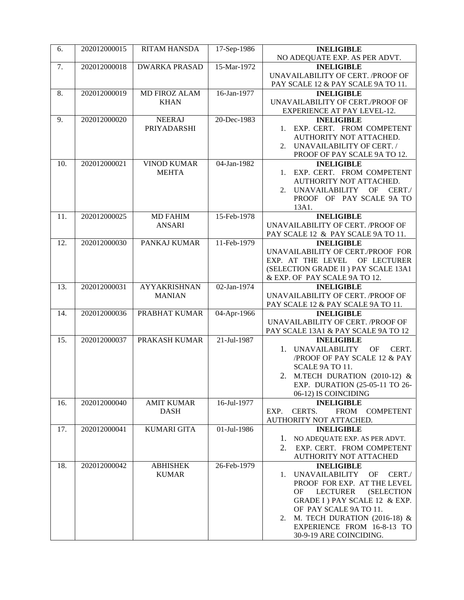| 6.  | 202012000015 | <b>RITAM HANSDA</b>                  | 17-Sep-1986 | <b>INELIGIBLE</b>                                      |
|-----|--------------|--------------------------------------|-------------|--------------------------------------------------------|
|     |              |                                      |             | NO ADEQUATE EXP. AS PER ADVT.                          |
| 7.  | 202012000018 | <b>DWARKA PRASAD</b>                 | 15-Mar-1972 | <b>INELIGIBLE</b>                                      |
|     |              |                                      |             | UNAVAILABILITY OF CERT. / PROOF OF                     |
|     |              |                                      |             | PAY SCALE 12 & PAY SCALE 9A TO 11.                     |
| 8.  | 202012000019 | <b>MD FIROZ ALAM</b>                 | 16-Jan-1977 | <b>INELIGIBLE</b>                                      |
|     |              | <b>KHAN</b>                          |             | UNAVAILABILITY OF CERT./PROOF OF                       |
|     |              |                                      |             | EXPERIENCE AT PAY LEVEL-12.                            |
| 9.  | 202012000020 | <b>NEERAJ</b><br>PRIYADARSHI         | 20-Dec-1983 | <b>INELIGIBLE</b><br>1. EXP. CERT. FROM COMPETENT      |
|     |              |                                      |             | AUTHORITY NOT ATTACHED.                                |
|     |              |                                      |             | UNAVAILABILITY OF CERT. /<br>2.                        |
|     |              |                                      |             | PROOF OF PAY SCALE 9A TO 12.                           |
| 10. | 202012000021 | <b>VINOD KUMAR</b>                   | 04-Jan-1982 | <b>INELIGIBLE</b>                                      |
|     |              | <b>MEHTA</b>                         |             | EXP. CERT. FROM COMPETENT<br>1.                        |
|     |              |                                      |             | AUTHORITY NOT ATTACHED.                                |
|     |              |                                      |             | UNAVAILABILITY<br>CERT./<br>OF<br>2.                   |
|     |              |                                      |             | PROOF OF PAY SCALE 9A TO                               |
|     |              |                                      |             | 13A1.                                                  |
| 11. | 202012000025 | <b>MD FAHIM</b>                      | 15-Feb-1978 | <b>INELIGIBLE</b>                                      |
|     |              | ANSARI                               |             | UNAVAILABILITY OF CERT. /PROOF OF                      |
|     |              |                                      |             | PAY SCALE 12 & PAY SCALE 9A TO 11.                     |
| 12. | 202012000030 | PANKAJ KUMAR                         | 11-Feb-1979 | <b>INELIGIBLE</b>                                      |
|     |              |                                      |             | UNAVAILABILITY OF CERT./PROOF FOR                      |
|     |              |                                      |             | EXP. AT THE LEVEL<br>OF LECTURER                       |
|     |              |                                      |             | (SELECTION GRADE II ) PAY SCALE 13A1                   |
|     |              |                                      |             | & EXP. OF PAY SCALE 9A TO 12.                          |
| 13. | 202012000031 | <b>AYYAKRISHNAN</b><br><b>MANIAN</b> | 02-Jan-1974 | <b>INELIGIBLE</b><br>UNAVAILABILITY OF CERT. /PROOF OF |
|     |              |                                      |             | PAY SCALE 12 & PAY SCALE 9A TO 11.                     |
| 14. | 202012000036 | PRABHAT KUMAR                        | 04-Apr-1966 | <b>INELIGIBLE</b>                                      |
|     |              |                                      |             | UNAVAILABILITY OF CERT. /PROOF OF                      |
|     |              |                                      |             | PAY SCALE 13A1 & PAY SCALE 9A TO 12                    |
| 15. | 202012000037 | PRAKASH KUMAR                        | 21-Jul-1987 | <b>INELIGIBLE</b>                                      |
|     |              |                                      |             | <b>UNAVAILABILITY</b><br>OF<br>CERT.<br>1.             |
|     |              |                                      |             | /PROOF OF PAY SCALE 12 & PAY                           |
|     |              |                                      |             | SCALE 9A TO 11.                                        |
|     |              |                                      |             | 2. M.TECH DURATION (2010-12) &                         |
|     |              |                                      |             | EXP. DURATION (25-05-11 TO 26-                         |
|     |              |                                      |             | 06-12) IS COINCIDING                                   |
| 16. | 202012000040 | <b>AMIT KUMAR</b>                    | 16-Jul-1977 | <b>INELIGIBLE</b>                                      |
|     |              | <b>DASH</b>                          |             | CERTS.<br>FROM COMPETENT<br>EXP.                       |
| 17. | 202012000041 | <b>KUMARI GITA</b>                   | 01-Jul-1986 | AUTHORITY NOT ATTACHED.                                |
|     |              |                                      |             | <b>INELIGIBLE</b><br>1. NO ADEQUATE EXP. AS PER ADVT.  |
|     |              |                                      |             | EXP. CERT. FROM COMPETENT<br>2.                        |
|     |              |                                      |             | AUTHORITY NOT ATTACHED                                 |
| 18. | 202012000042 | <b>ABHISHEK</b>                      | 26-Feb-1979 | <b>INELIGIBLE</b>                                      |
|     |              | <b>KUMAR</b>                         |             | UNAVAILABILITY<br>OF<br>CERT./<br>1.                   |
|     |              |                                      |             | PROOF FOR EXP. AT THE LEVEL                            |
|     |              |                                      |             | <b>LECTURER</b><br><b>(SELECTION</b><br>OF.            |
|     |              |                                      |             | GRADE I) PAY SCALE 12 & EXP.                           |
|     |              |                                      |             | OF PAY SCALE 9A TO 11.                                 |
|     |              |                                      |             | M. TECH DURATION (2016-18) $&$<br>2.                   |
|     |              |                                      |             | EXPERIENCE FROM 16-8-13 TO                             |
|     |              |                                      |             | 30-9-19 ARE COINCIDING.                                |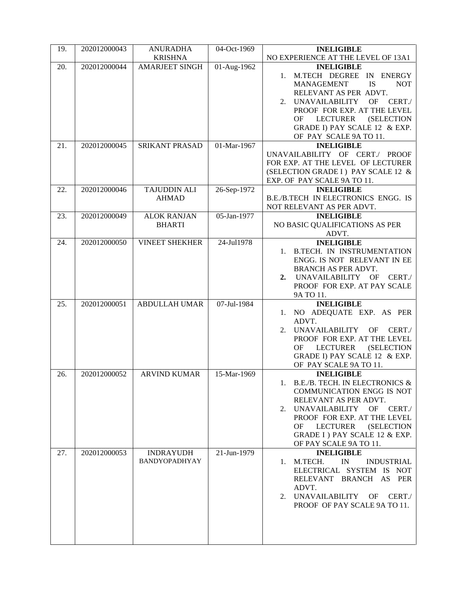| 19. | 202012000043 | <b>ANURADHA</b><br><b>KRISHNA</b>   | 04-Oct-1969    | <b>INELIGIBLE</b><br>NO EXPERIENCE AT THE LEVEL OF 13A1                                                                                                                                                                                                                                     |  |
|-----|--------------|-------------------------------------|----------------|---------------------------------------------------------------------------------------------------------------------------------------------------------------------------------------------------------------------------------------------------------------------------------------------|--|
| 20. | 202012000044 | <b>AMARJEET SINGH</b>               | 01-Aug-1962    | <b>INELIGIBLE</b><br>M.TECH DEGREE IN ENERGY<br><b>IS</b><br><b>MANAGEMENT</b><br><b>NOT</b><br>RELEVANT AS PER ADVT.<br>2. UNAVAILABILITY OF CERT./<br>PROOF FOR EXP. AT THE LEVEL<br><b>LECTURER</b><br><b>(SELECTION</b><br>OF<br>GRADE I) PAY SCALE 12 & EXP.<br>OF PAY SCALE 9A TO 11. |  |
| 21. | 202012000045 | <b>SRIKANT PRASAD</b>               | 01-Mar-1967    | <b>INELIGIBLE</b><br>UNAVAILABILITY OF CERT./ PROOF<br>FOR EXP. AT THE LEVEL OF LECTURER<br>(SELECTION GRADE I) PAY SCALE 12 &<br>EXP. OF PAY SCALE 9A TO 11.                                                                                                                               |  |
| 22. | 202012000046 | <b>TAJUDDIN ALI</b><br><b>AHMAD</b> | 26-Sep-1972    | <b>INELIGIBLE</b><br>B.E./B.TECH IN ELECTRONICS ENGG. IS<br>NOT RELEVANT AS PER ADVT.                                                                                                                                                                                                       |  |
| 23. | 202012000049 | <b>ALOK RANJAN</b><br><b>BHARTI</b> | 05-Jan-1977    | <b>INELIGIBLE</b><br>NO BASIC QUALIFICATIONS AS PER<br>ADVT.                                                                                                                                                                                                                                |  |
| 24. | 202012000050 | <b>VINEET SHEKHER</b>               | 24-Jul1978     | <b>INELIGIBLE</b><br>B.TECH. IN INSTRUMENTATION<br>ENGG. IS NOT RELEVANT IN EE<br>BRANCH AS PER ADVT.<br>UNAVAILABILITY OF<br>CERT./<br>2.<br>PROOF FOR EXP. AT PAY SCALE<br>9A TO 11.                                                                                                      |  |
| 25. | 202012000051 | <b>ABDULLAH UMAR</b>                | 07-Jul-1984    | <b>INELIGIBLE</b><br>1. NO ADEQUATE EXP. AS PER<br>ADVT.<br>UNAVAILABILITY OF CERT./<br>2.<br>PROOF FOR EXP. AT THE LEVEL<br>LECTURER<br>OF<br>(SELECTION<br>GRADE I) PAY SCALE 12 & EXP.<br>OF PAY SCALE 9A TO 11.                                                                         |  |
| 26. | 202012000052 | <b>ARVIND KUMAR</b>                 | $15$ -Mar-1969 | <b>INELIGIBLE</b><br>1. B.E./B. TECH. IN ELECTRONICS $\&$<br><b>COMMUNICATION ENGG IS NOT</b><br>RELEVANT AS PER ADVT.<br>UNAVAILABILITY OF CERT./<br>2.<br>PROOF FOR EXP. AT THE LEVEL<br>LECTURER<br><b>(SELECTION</b><br>OF.<br>GRADE I ) PAY SCALE 12 & EXP.<br>OF PAY SCALE 9A TO 11.  |  |
| 27. | 202012000053 | <b>INDRAYUDH</b><br>BANDYOPADHYAY   | 21-Jun-1979    | <b>INELIGIBLE</b><br>M.TECH.<br>IN<br><b>INDUSTRIAL</b><br>1.<br>ELECTRICAL SYSTEM IS NOT<br>RELEVANT BRANCH AS PER<br>ADVT.<br>UNAVAILABILITY OF<br>CERT./<br>2.<br>PROOF OF PAY SCALE 9A TO 11.                                                                                           |  |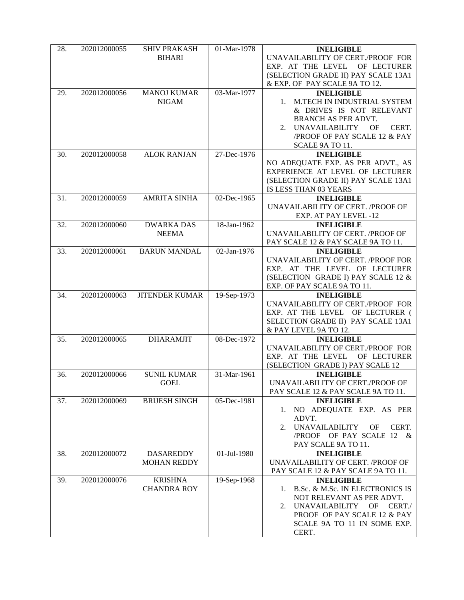| 28. | 202012000055 | <b>SHIV PRAKASH</b>   | 01-Mar-1978       | <b>INELIGIBLE</b>                          |
|-----|--------------|-----------------------|-------------------|--------------------------------------------|
|     |              | <b>BIHARI</b>         |                   | UNAVAILABILITY OF CERT./PROOF FOR          |
|     |              |                       |                   | EXP. AT THE LEVEL OF LECTURER              |
|     |              |                       |                   | (SELECTION GRADE II) PAY SCALE 13A1        |
|     |              |                       |                   | & EXP. OF PAY SCALE 9A TO 12.              |
| 29. | 202012000056 | <b>MANOJ KUMAR</b>    | 03-Mar-1977       | <b>INELIGIBLE</b>                          |
|     |              | <b>NIGAM</b>          |                   | M.TECH IN INDUSTRIAL SYSTEM<br>1.          |
|     |              |                       |                   | & DRIVES IS NOT RELEVANT                   |
|     |              |                       |                   | BRANCH AS PER ADVT.                        |
|     |              |                       |                   | <b>UNAVAILABILITY</b><br>CERT.<br>OF<br>2. |
|     |              |                       |                   | /PROOF OF PAY SCALE 12 & PAY               |
|     |              |                       |                   | SCALE 9A TO 11.                            |
| 30. | 202012000058 | <b>ALOK RANJAN</b>    | 27-Dec-1976       | <b>INELIGIBLE</b>                          |
|     |              |                       |                   | NO ADEQUATE EXP. AS PER ADVT., AS          |
|     |              |                       |                   | EXPERIENCE AT LEVEL OF LECTURER            |
|     |              |                       |                   | (SELECTION GRADE II) PAY SCALE 13A1        |
|     |              |                       |                   | IS LESS THAN 03 YEARS                      |
| 31. | 202012000059 | <b>AMRITA SINHA</b>   | 02-Dec-1965       | <b>INELIGIBLE</b>                          |
|     |              |                       |                   | UNAVAILABILITY OF CERT. /PROOF OF          |
|     |              |                       |                   | EXP. AT PAY LEVEL -12                      |
| 32. | 202012000060 | <b>DWARKA DAS</b>     | $18 - Jan - 1962$ | <b>INELIGIBLE</b>                          |
|     |              | <b>NEEMA</b>          |                   | UNAVAILABILITY OF CERT. /PROOF OF          |
|     |              |                       |                   | PAY SCALE 12 & PAY SCALE 9A TO 11.         |
| 33. | 202012000061 | <b>BARUN MANDAL</b>   | 02-Jan-1976       | <b>INELIGIBLE</b>                          |
|     |              |                       |                   | UNAVAILABILITY OF CERT. /PROOF FOR         |
|     |              |                       |                   | EXP. AT THE LEVEL OF LECTURER              |
|     |              |                       |                   | (SELECTION GRADE I) PAY SCALE 12 &         |
|     |              |                       |                   | EXP. OF PAY SCALE 9A TO 11.                |
| 34. | 202012000063 | <b>JITENDER KUMAR</b> | 19-Sep-1973       | <b>INELIGIBLE</b>                          |
|     |              |                       |                   | UNAVAILABILITY OF CERT./PROOF FOR          |
|     |              |                       |                   | EXP. AT THE LEVEL OF LECTURER (            |
|     |              |                       |                   | SELECTION GRADE II) PAY SCALE 13A1         |
|     |              |                       |                   | & PAY LEVEL 9A TO 12.                      |
| 35. | 202012000065 | <b>DHARAMJIT</b>      | 08-Dec-1972       | <b>INELIGIBLE</b>                          |
|     |              |                       |                   | UNAVAILABILITY OF CERT./PROOF FOR          |
|     |              |                       |                   | EXP. AT THE LEVEL OF LECTURER              |
|     |              |                       |                   | (SELECTION GRADE I) PAY SCALE 12           |
| 36. | 202012000066 | <b>SUNIL KUMAR</b>    | 31-Mar-1961       | <b>INELIGIBLE</b>                          |
|     |              |                       |                   |                                            |
|     |              | <b>GOEL</b>           |                   | UNAVAILABILITY OF CERT./PROOF OF           |
| 37. |              |                       |                   | PAY SCALE 12 & PAY SCALE 9A TO 11.         |
|     | 202012000069 | <b>BRIJESH SINGH</b>  | 05-Dec-1981       | <b>INELIGIBLE</b>                          |
|     |              |                       |                   | 1. NO ADEQUATE EXP. AS PER                 |
|     |              |                       |                   | ADVT.                                      |
|     |              |                       |                   | <b>UNAVAILABILITY</b><br>CERT.<br>OF<br>2. |
|     |              |                       |                   | /PROOF OF PAY SCALE 12 &                   |
|     |              |                       |                   | PAY SCALE 9A TO 11.                        |
| 38. | 202012000072 | <b>DASAREDDY</b>      | 01-Jul-1980       | <b>INELIGIBLE</b>                          |
|     |              | <b>MOHAN REDDY</b>    |                   | UNAVAILABILITY OF CERT. / PROOF OF         |
|     |              |                       |                   | PAY SCALE 12 & PAY SCALE 9A TO 11.         |
| 39. | 202012000076 | <b>KRISHNA</b>        | 19-Sep-1968       | <b>INELIGIBLE</b>                          |
|     |              | <b>CHANDRA ROY</b>    |                   | B.Sc. & M.Sc. IN ELECTRONICS IS<br>1.      |
|     |              |                       |                   | NOT RELEVANT AS PER ADVT.                  |
|     |              |                       |                   | UNAVAILABILITY OF CERT./<br>2.             |
|     |              |                       |                   | PROOF OF PAY SCALE 12 & PAY                |
|     |              |                       |                   | SCALE 9A TO 11 IN SOME EXP.<br>CERT.       |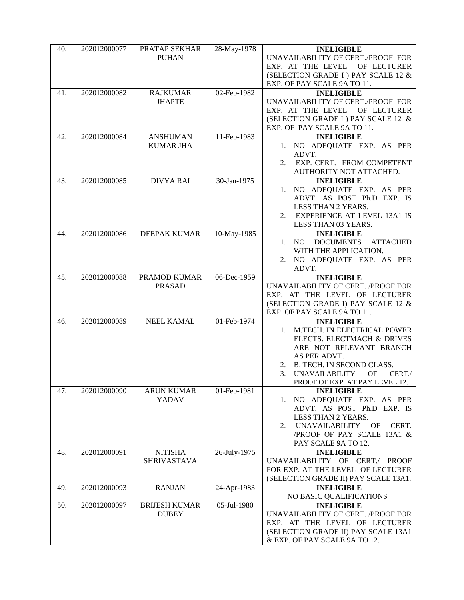| <b>PUHAN</b><br>EXP. OF PAY SCALE 9A TO 11.<br>02-Feb-1982<br>202012000082<br><b>RAJKUMAR</b><br>41.<br><b>INELIGIBLE</b><br><b>JHAPTE</b><br>EXP. AT THE LEVEL<br>(SELECTION GRADE I) PAY SCALE 12 &<br>EXP. OF PAY SCALE 9A TO 11.<br>202012000084<br>11-Feb-1983<br><b>INELIGIBLE</b><br>42.<br><b>ANSHUMAN</b><br><b>KUMAR JHA</b><br>ADVT.<br>2.<br>AUTHORITY NOT ATTACHED.<br><b>DIVYA RAI</b><br>30-Jan-1975<br>202012000085<br><b>INELIGIBLE</b><br>43.<br>LESS THAN 2 YEARS.<br>LESS THAN 03 YEARS.<br>10-May-1985<br>202012000086<br>44.<br><b>DEEPAK KUMAR</b><br><b>INELIGIBLE</b><br><b>DOCUMENTS</b><br>1. NO<br>WITH THE APPLICATION.<br>ADVT.<br>06-Dec-1959<br>45.<br>202012000088<br>PRAMOD KUMAR<br><b>INELIGIBLE</b><br>UNAVAILABILITY OF CERT. /PROOF FOR<br><b>PRASAD</b><br>EXP. AT THE LEVEL OF LECTURER<br>(SELECTION GRADE I) PAY SCALE 12 &<br>EXP. OF PAY SCALE 9A TO 11.<br><b>NEEL KAMAL</b><br>01-Feb-1974<br>202012000089<br><b>INELIGIBLE</b><br>46.<br>1. M.TECH. IN ELECTRICAL POWER<br>ELECTS. ELECTMACH & DRIVES<br>ARE NOT RELEVANT BRANCH<br>AS PER ADVT.<br>2. B. TECH. IN SECOND CLASS. | 40. | 202012000077 | PRATAP SEKHAR | 28-May-1978 | <b>INELIGIBLE</b>                    |
|----------------------------------------------------------------------------------------------------------------------------------------------------------------------------------------------------------------------------------------------------------------------------------------------------------------------------------------------------------------------------------------------------------------------------------------------------------------------------------------------------------------------------------------------------------------------------------------------------------------------------------------------------------------------------------------------------------------------------------------------------------------------------------------------------------------------------------------------------------------------------------------------------------------------------------------------------------------------------------------------------------------------------------------------------------------------------------------------------------------------------------|-----|--------------|---------------|-------------|--------------------------------------|
|                                                                                                                                                                                                                                                                                                                                                                                                                                                                                                                                                                                                                                                                                                                                                                                                                                                                                                                                                                                                                                                                                                                                  |     |              |               |             | UNAVAILABILITY OF CERT./PROOF FOR    |
|                                                                                                                                                                                                                                                                                                                                                                                                                                                                                                                                                                                                                                                                                                                                                                                                                                                                                                                                                                                                                                                                                                                                  |     |              |               |             | EXP. AT THE LEVEL OF LECTURER        |
|                                                                                                                                                                                                                                                                                                                                                                                                                                                                                                                                                                                                                                                                                                                                                                                                                                                                                                                                                                                                                                                                                                                                  |     |              |               |             | (SELECTION GRADE I ) PAY SCALE 12 &  |
|                                                                                                                                                                                                                                                                                                                                                                                                                                                                                                                                                                                                                                                                                                                                                                                                                                                                                                                                                                                                                                                                                                                                  |     |              |               |             |                                      |
|                                                                                                                                                                                                                                                                                                                                                                                                                                                                                                                                                                                                                                                                                                                                                                                                                                                                                                                                                                                                                                                                                                                                  |     |              |               |             |                                      |
|                                                                                                                                                                                                                                                                                                                                                                                                                                                                                                                                                                                                                                                                                                                                                                                                                                                                                                                                                                                                                                                                                                                                  |     |              |               |             | UNAVAILABILITY OF CERT./PROOF FOR    |
|                                                                                                                                                                                                                                                                                                                                                                                                                                                                                                                                                                                                                                                                                                                                                                                                                                                                                                                                                                                                                                                                                                                                  |     |              |               |             | OF LECTURER                          |
|                                                                                                                                                                                                                                                                                                                                                                                                                                                                                                                                                                                                                                                                                                                                                                                                                                                                                                                                                                                                                                                                                                                                  |     |              |               |             |                                      |
|                                                                                                                                                                                                                                                                                                                                                                                                                                                                                                                                                                                                                                                                                                                                                                                                                                                                                                                                                                                                                                                                                                                                  |     |              |               |             |                                      |
|                                                                                                                                                                                                                                                                                                                                                                                                                                                                                                                                                                                                                                                                                                                                                                                                                                                                                                                                                                                                                                                                                                                                  |     |              |               |             |                                      |
|                                                                                                                                                                                                                                                                                                                                                                                                                                                                                                                                                                                                                                                                                                                                                                                                                                                                                                                                                                                                                                                                                                                                  |     |              |               |             | 1. NO ADEQUATE EXP. AS PER           |
|                                                                                                                                                                                                                                                                                                                                                                                                                                                                                                                                                                                                                                                                                                                                                                                                                                                                                                                                                                                                                                                                                                                                  |     |              |               |             |                                      |
|                                                                                                                                                                                                                                                                                                                                                                                                                                                                                                                                                                                                                                                                                                                                                                                                                                                                                                                                                                                                                                                                                                                                  |     |              |               |             | EXP. CERT. FROM COMPETENT            |
|                                                                                                                                                                                                                                                                                                                                                                                                                                                                                                                                                                                                                                                                                                                                                                                                                                                                                                                                                                                                                                                                                                                                  |     |              |               |             |                                      |
|                                                                                                                                                                                                                                                                                                                                                                                                                                                                                                                                                                                                                                                                                                                                                                                                                                                                                                                                                                                                                                                                                                                                  |     |              |               |             |                                      |
|                                                                                                                                                                                                                                                                                                                                                                                                                                                                                                                                                                                                                                                                                                                                                                                                                                                                                                                                                                                                                                                                                                                                  |     |              |               |             | 1. NO ADEQUATE EXP. AS PER           |
|                                                                                                                                                                                                                                                                                                                                                                                                                                                                                                                                                                                                                                                                                                                                                                                                                                                                                                                                                                                                                                                                                                                                  |     |              |               |             | ADVT. AS POST Ph.D EXP. IS           |
|                                                                                                                                                                                                                                                                                                                                                                                                                                                                                                                                                                                                                                                                                                                                                                                                                                                                                                                                                                                                                                                                                                                                  |     |              |               |             |                                      |
|                                                                                                                                                                                                                                                                                                                                                                                                                                                                                                                                                                                                                                                                                                                                                                                                                                                                                                                                                                                                                                                                                                                                  |     |              |               |             | 2. EXPERIENCE AT LEVEL 13A1 IS       |
|                                                                                                                                                                                                                                                                                                                                                                                                                                                                                                                                                                                                                                                                                                                                                                                                                                                                                                                                                                                                                                                                                                                                  |     |              |               |             |                                      |
|                                                                                                                                                                                                                                                                                                                                                                                                                                                                                                                                                                                                                                                                                                                                                                                                                                                                                                                                                                                                                                                                                                                                  |     |              |               |             |                                      |
|                                                                                                                                                                                                                                                                                                                                                                                                                                                                                                                                                                                                                                                                                                                                                                                                                                                                                                                                                                                                                                                                                                                                  |     |              |               |             | <b>ATTACHED</b>                      |
|                                                                                                                                                                                                                                                                                                                                                                                                                                                                                                                                                                                                                                                                                                                                                                                                                                                                                                                                                                                                                                                                                                                                  |     |              |               |             |                                      |
|                                                                                                                                                                                                                                                                                                                                                                                                                                                                                                                                                                                                                                                                                                                                                                                                                                                                                                                                                                                                                                                                                                                                  |     |              |               |             | 2. NO ADEQUATE EXP. AS PER           |
|                                                                                                                                                                                                                                                                                                                                                                                                                                                                                                                                                                                                                                                                                                                                                                                                                                                                                                                                                                                                                                                                                                                                  |     |              |               |             |                                      |
|                                                                                                                                                                                                                                                                                                                                                                                                                                                                                                                                                                                                                                                                                                                                                                                                                                                                                                                                                                                                                                                                                                                                  |     |              |               |             |                                      |
|                                                                                                                                                                                                                                                                                                                                                                                                                                                                                                                                                                                                                                                                                                                                                                                                                                                                                                                                                                                                                                                                                                                                  |     |              |               |             |                                      |
|                                                                                                                                                                                                                                                                                                                                                                                                                                                                                                                                                                                                                                                                                                                                                                                                                                                                                                                                                                                                                                                                                                                                  |     |              |               |             |                                      |
|                                                                                                                                                                                                                                                                                                                                                                                                                                                                                                                                                                                                                                                                                                                                                                                                                                                                                                                                                                                                                                                                                                                                  |     |              |               |             |                                      |
|                                                                                                                                                                                                                                                                                                                                                                                                                                                                                                                                                                                                                                                                                                                                                                                                                                                                                                                                                                                                                                                                                                                                  |     |              |               |             |                                      |
|                                                                                                                                                                                                                                                                                                                                                                                                                                                                                                                                                                                                                                                                                                                                                                                                                                                                                                                                                                                                                                                                                                                                  |     |              |               |             |                                      |
|                                                                                                                                                                                                                                                                                                                                                                                                                                                                                                                                                                                                                                                                                                                                                                                                                                                                                                                                                                                                                                                                                                                                  |     |              |               |             |                                      |
|                                                                                                                                                                                                                                                                                                                                                                                                                                                                                                                                                                                                                                                                                                                                                                                                                                                                                                                                                                                                                                                                                                                                  |     |              |               |             |                                      |
|                                                                                                                                                                                                                                                                                                                                                                                                                                                                                                                                                                                                                                                                                                                                                                                                                                                                                                                                                                                                                                                                                                                                  |     |              |               |             |                                      |
|                                                                                                                                                                                                                                                                                                                                                                                                                                                                                                                                                                                                                                                                                                                                                                                                                                                                                                                                                                                                                                                                                                                                  |     |              |               |             |                                      |
|                                                                                                                                                                                                                                                                                                                                                                                                                                                                                                                                                                                                                                                                                                                                                                                                                                                                                                                                                                                                                                                                                                                                  |     |              |               |             |                                      |
| 3.<br><b>UNAVAILABILITY</b><br>OF                                                                                                                                                                                                                                                                                                                                                                                                                                                                                                                                                                                                                                                                                                                                                                                                                                                                                                                                                                                                                                                                                                |     |              |               |             | CERT.                                |
|                                                                                                                                                                                                                                                                                                                                                                                                                                                                                                                                                                                                                                                                                                                                                                                                                                                                                                                                                                                                                                                                                                                                  |     |              |               |             | PROOF OF EXP. AT PAY LEVEL 12.       |
| 47.<br>01-Feb-1981<br><b>INELIGIBLE</b><br>202012000090<br><b>ARUN KUMAR</b><br>YADAV                                                                                                                                                                                                                                                                                                                                                                                                                                                                                                                                                                                                                                                                                                                                                                                                                                                                                                                                                                                                                                            |     |              |               |             | 1. NO ADEQUATE EXP. AS PER           |
|                                                                                                                                                                                                                                                                                                                                                                                                                                                                                                                                                                                                                                                                                                                                                                                                                                                                                                                                                                                                                                                                                                                                  |     |              |               |             | ADVT. AS POST Ph.D EXP. IS           |
| LESS THAN 2 YEARS.                                                                                                                                                                                                                                                                                                                                                                                                                                                                                                                                                                                                                                                                                                                                                                                                                                                                                                                                                                                                                                                                                                               |     |              |               |             |                                      |
| UNAVAILABILITY OF<br>2.                                                                                                                                                                                                                                                                                                                                                                                                                                                                                                                                                                                                                                                                                                                                                                                                                                                                                                                                                                                                                                                                                                          |     |              |               |             | CERT.                                |
|                                                                                                                                                                                                                                                                                                                                                                                                                                                                                                                                                                                                                                                                                                                                                                                                                                                                                                                                                                                                                                                                                                                                  |     |              |               |             | /PROOF OF PAY SCALE 13A1 &           |
| PAY SCALE 9A TO 12.                                                                                                                                                                                                                                                                                                                                                                                                                                                                                                                                                                                                                                                                                                                                                                                                                                                                                                                                                                                                                                                                                                              |     |              |               |             |                                      |
| 202012000091<br><b>NITISHA</b><br>26-July-1975<br>48.<br><b>INELIGIBLE</b>                                                                                                                                                                                                                                                                                                                                                                                                                                                                                                                                                                                                                                                                                                                                                                                                                                                                                                                                                                                                                                                       |     |              |               |             |                                      |
| <b>SHRIVASTAVA</b>                                                                                                                                                                                                                                                                                                                                                                                                                                                                                                                                                                                                                                                                                                                                                                                                                                                                                                                                                                                                                                                                                                               |     |              |               |             | UNAVAILABILITY OF CERT./ PROOF       |
|                                                                                                                                                                                                                                                                                                                                                                                                                                                                                                                                                                                                                                                                                                                                                                                                                                                                                                                                                                                                                                                                                                                                  |     |              |               |             | FOR EXP. AT THE LEVEL OF LECTURER    |
|                                                                                                                                                                                                                                                                                                                                                                                                                                                                                                                                                                                                                                                                                                                                                                                                                                                                                                                                                                                                                                                                                                                                  |     |              |               |             | (SELECTION GRADE II) PAY SCALE 13A1. |
| <b>RANJAN</b><br>24-Apr-1983<br>49.<br>202012000093<br><b>INELIGIBLE</b>                                                                                                                                                                                                                                                                                                                                                                                                                                                                                                                                                                                                                                                                                                                                                                                                                                                                                                                                                                                                                                                         |     |              |               |             |                                      |
| NO BASIC QUALIFICATIONS                                                                                                                                                                                                                                                                                                                                                                                                                                                                                                                                                                                                                                                                                                                                                                                                                                                                                                                                                                                                                                                                                                          |     |              |               |             |                                      |
| <b>BRIJESH KUMAR</b><br>05-Jul-1980<br><b>INELIGIBLE</b><br>50.<br>202012000097                                                                                                                                                                                                                                                                                                                                                                                                                                                                                                                                                                                                                                                                                                                                                                                                                                                                                                                                                                                                                                                  |     |              |               |             |                                      |
| <b>DUBEY</b>                                                                                                                                                                                                                                                                                                                                                                                                                                                                                                                                                                                                                                                                                                                                                                                                                                                                                                                                                                                                                                                                                                                     |     |              |               |             | UNAVAILABILITY OF CERT. /PROOF FOR   |
|                                                                                                                                                                                                                                                                                                                                                                                                                                                                                                                                                                                                                                                                                                                                                                                                                                                                                                                                                                                                                                                                                                                                  |     |              |               |             | EXP. AT THE LEVEL OF LECTURER        |
|                                                                                                                                                                                                                                                                                                                                                                                                                                                                                                                                                                                                                                                                                                                                                                                                                                                                                                                                                                                                                                                                                                                                  |     |              |               |             | (SELECTION GRADE II) PAY SCALE 13A1  |
| & EXP. OF PAY SCALE 9A TO 12.                                                                                                                                                                                                                                                                                                                                                                                                                                                                                                                                                                                                                                                                                                                                                                                                                                                                                                                                                                                                                                                                                                    |     |              |               |             |                                      |